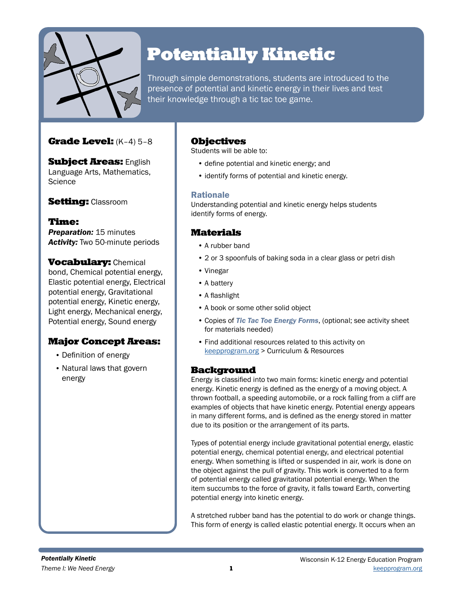

# Potentially Kinetic

Through simple demonstrations, students are introduced to the presence of potential and kinetic energy in their lives and test their knowledge through a tic tac toe game.

## Grade Level: (K–4) 5–8

**Subject Areas: English** Language Arts, Mathematics, **Science** 

**Setting: Classroom** 

Time: **Preparation: 15 minutes** *Activity:* Two 50-minute periods

**Vocabulary: Chemical** bond, Chemical potential energy, Elastic potential energy, Electrical potential energy, Gravitational potential energy, Kinetic energy, Light energy, Mechanical energy, Potential energy, Sound energy

## Major Concept Areas:

- Definition of energy
- Natural laws that govern energy

## **Objectives**

Students will be able to:

- define potential and kinetic energy; and
- identify forms of potential and kinetic energy.

## Rationale

Understanding potential and kinetic energy helps students identify forms of energy.

## **Materials**

- A rubber band
- 2 or 3 spoonfuls of baking soda in a clear glass or petri dish
- Vinegar
- A battery
- A flashlight
- A book or some other solid object
- Copies of *Tic Tac Toe Energy Forms*, (optional; see activity sheet for materials needed)
- Find additional resources related to this activity on [keepprogram.org](http://keepprogram.org) > Curriculum & Resources

## Background

Energy is classified into two main forms: kinetic energy and potential energy. Kinetic energy is defined as the energy of a moving object. A thrown football, a speeding automobile, or a rock falling from a cliff are examples of objects that have kinetic energy. Potential energy appears in many different forms, and is defined as the energy stored in matter due to its position or the arrangement of its parts.

Types of potential energy include gravitational potential energy, elastic potential energy, chemical potential energy, and electrical potential energy. When something is lifted or suspended in air, work is done on the object against the pull of gravity. This work is converted to a form of potential energy called gravitational potential energy. When the item succumbs to the force of gravity, it falls toward Earth, converting potential energy into kinetic energy.

A stretched rubber band has the potential to do work or change things. This form of energy is called elastic potential energy. It occurs when an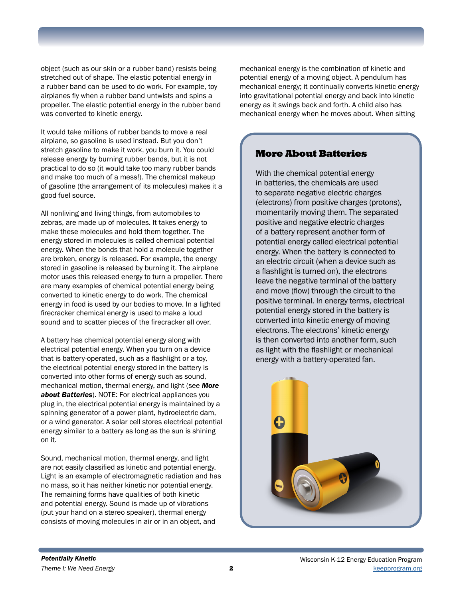object (such as our skin or a rubber band) resists being stretched out of shape. The elastic potential energy in a rubber band can be used to do work. For example, toy airplanes fly when a rubber band untwists and spins a propeller. The elastic potential energy in the rubber band was converted to kinetic energy.

It would take millions of rubber bands to move a real airplane, so gasoline is used instead. But you don't stretch gasoline to make it work, you burn it. You could release energy by burning rubber bands, but it is not practical to do so (it would take too many rubber bands and make too much of a mess!). The chemical makeup of gasoline (the arrangement of its molecules) makes it a good fuel source.

All nonliving and living things, from automobiles to zebras, are made up of molecules. It takes energy to make these molecules and hold them together. The energy stored in molecules is called chemical potential energy. When the bonds that hold a molecule together are broken, energy is released. For example, the energy stored in gasoline is released by burning it. The airplane motor uses this released energy to turn a propeller. There are many examples of chemical potential energy being converted to kinetic energy to do work. The chemical energy in food is used by our bodies to move. In a lighted firecracker chemical energy is used to make a loud sound and to scatter pieces of the firecracker all over.

A battery has chemical potential energy along with electrical potential energy. When you turn on a device that is battery-operated, such as a flashlight or a toy, the electrical potential energy stored in the battery is converted into other forms of energy such as sound, mechanical motion, thermal energy, and light (see *More about Batteries*). NOTE: For electrical appliances you plug in, the electrical potential energy is maintained by a spinning generator of a power plant, hydroelectric dam, or a wind generator. A solar cell stores electrical potential energy similar to a battery as long as the sun is shining on it.

Sound, mechanical motion, thermal energy, and light are not easily classified as kinetic and potential energy. Light is an example of electromagnetic radiation and has no mass, so it has neither kinetic nor potential energy. The remaining forms have qualities of both kinetic and potential energy. Sound is made up of vibrations (put your hand on a stereo speaker), thermal energy consists of moving molecules in air or in an object, and

mechanical energy is the combination of kinetic and potential energy of a moving object. A pendulum has mechanical energy; it continually converts kinetic energy into gravitational potential energy and back into kinetic energy as it swings back and forth. A child also has mechanical energy when he moves about. When sitting

## More About Batteries

With the chemical potential energy in batteries, the chemicals are used to separate negative electric charges (electrons) from positive charges (protons), momentarily moving them. The separated positive and negative electric charges of a battery represent another form of potential energy called electrical potential energy. When the battery is connected to an electric circuit (when a device such as a flashlight is turned on), the electrons leave the negative terminal of the battery and move (flow) through the circuit to the positive terminal. In energy terms, electrical potential energy stored in the battery is converted into kinetic energy of moving electrons. The electrons' kinetic energy is then converted into another form, such as light with the flashlight or mechanical energy with a battery-operated fan.

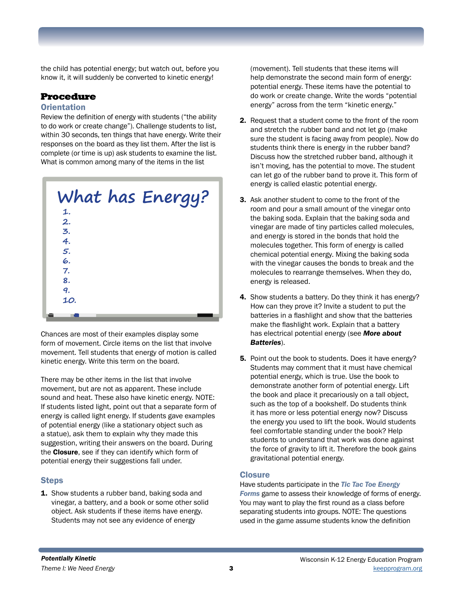the child has potential energy; but watch out, before you know it, it will suddenly be converted to kinetic energy!

## Procedure

#### **Orientation**

Review the definition of energy with students ("the ability to do work or create change"). Challenge students to list, within 30 seconds, ten things that have energy. Write their responses on the board as they list them. After the list is complete (or time is up) ask students to examine the list. What is common among many of the items in the list

| What has Energy? |
|------------------|
| 1.               |
| 2.               |
| 3.               |
| 4.               |
| 5.               |
| 6.               |
| 7.               |
| 8.               |
| 9.               |
| 10.              |
|                  |

Chances are most of their examples display some form of movement. Circle items on the list that involve movement. Tell students that energy of motion is called kinetic energy. Write this term on the board.

There may be other items in the list that involve movement, but are not as apparent. These include sound and heat. These also have kinetic energy. NOTE: If students listed light, point out that a separate form of energy is called light energy. If students gave examples of potential energy (like a stationary object such as a statue), ask them to explain why they made this suggestion, writing their answers on the board. During the **Closure**, see if they can identify which form of potential energy their suggestions fall under.

#### Steps

1. Show students a rubber band, baking soda and vinegar, a battery, and a book or some other solid object. Ask students if these items have energy. Students may not see any evidence of energy

(movement). Tell students that these items will help demonstrate the second main form of energy: potential energy. These items have the potential to do work or create change. Write the words "potential energy" across from the term "kinetic energy."

- 2. Request that a student come to the front of the room and stretch the rubber band and not let go (make sure the student is facing away from people). Now do students think there is energy in the rubber band? Discuss how the stretched rubber band, although it isn't moving, has the potential to move. The student can let go of the rubber band to prove it. This form of energy is called elastic potential energy.
- 3. Ask another student to come to the front of the room and pour a small amount of the vinegar onto the baking soda. Explain that the baking soda and vinegar are made of tiny particles called molecules, and energy is stored in the bonds that hold the molecules together. This form of energy is called chemical potential energy. Mixing the baking soda with the vinegar causes the bonds to break and the molecules to rearrange themselves. When they do, energy is released.
- 4. Show students a battery. Do they think it has energy? How can they prove it? Invite a student to put the batteries in a flashlight and show that the batteries make the flashlight work. Explain that a battery has electrical potential energy (see *More about Batteries*).
- **5.** Point out the book to students. Does it have energy? Students may comment that it must have chemical potential energy, which is true. Use the book to demonstrate another form of potential energy. Lift the book and place it precariously on a tall object, such as the top of a bookshelf. Do students think it has more or less potential energy now? Discuss the energy you used to lift the book. Would students feel comfortable standing under the book? Help students to understand that work was done against the force of gravity to lift it. Therefore the book gains gravitational potential energy.

#### **Closure**

Have students participate in the *Tic Tac Toe Energy Forms* game to assess their knowledge of forms of energy. You may want to play the first round as a class before separating students into groups. NOTE: The questions used in the game assume students know the definition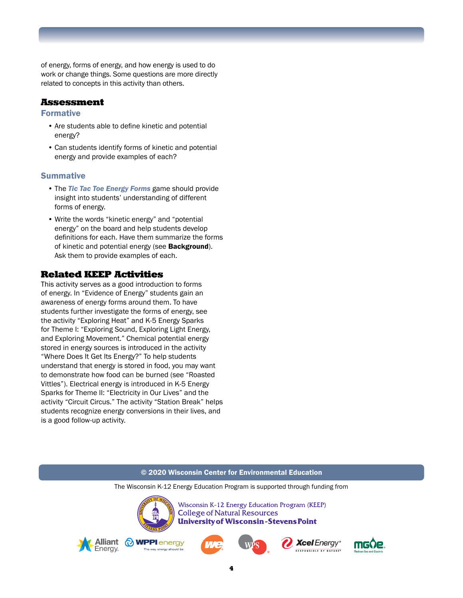of energy, forms of energy, and how energy is used to do work or change things. Some questions are more directly related to concepts in this activity than others.

#### Assessment

#### Formative

- Are students able to define kinetic and potential energy?
- Can students identify forms of kinetic and potential energy and provide examples of each?

#### **Summative**

- The *Tic Tac Toe Energy Forms* game should provide insight into students' understanding of different forms of energy.
- Write the words "kinetic energy" and "potential energy" on the board and help students develop definitions for each. Have them summarize the forms of kinetic and potential energy (see **Background**). Ask them to provide examples of each.

#### Related KEEP Activities

This activity serves as a good introduction to forms of energy. In "Evidence of Energy" students gain an awareness of energy forms around them. To have students further investigate the forms of energy, see the activity "Exploring Heat" and K-5 Energy Sparks for Theme I: "Exploring Sound, Exploring Light Energy, and Exploring Movement." Chemical potential energy stored in energy sources is introduced in the activity "Where Does It Get Its Energy?" To help students understand that energy is stored in food, you may want to demonstrate how food can be burned (see "Roasted Vittles"). Electrical energy is introduced in K-5 Energy Sparks for Theme II: "Electricity in Our Lives" and the activity "Circuit Circus." The activity "Station Break" helps students recognize energy conversions in their lives, and is a good follow-up activity.

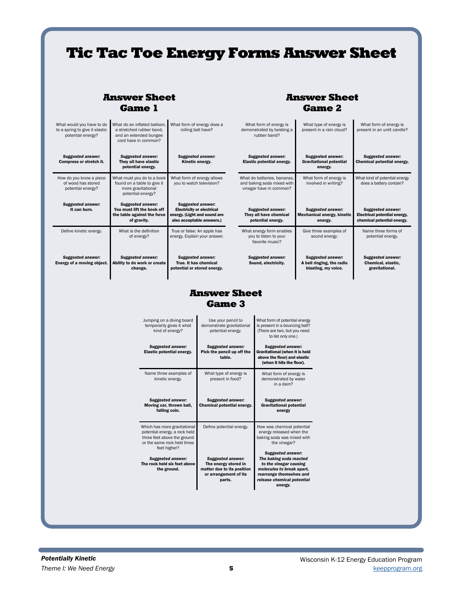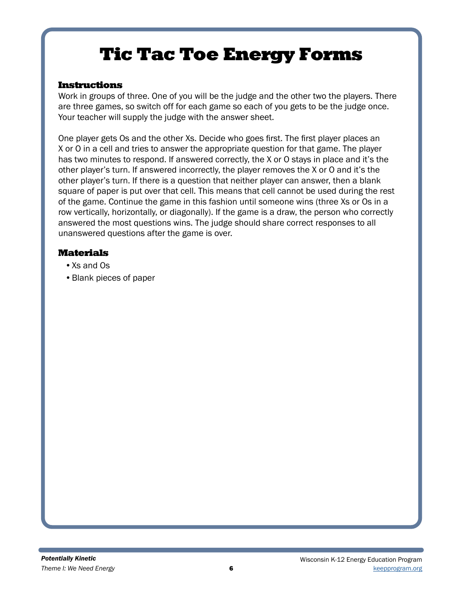## Tic Tac Toe Energy Forms

## Instructions

Work in groups of three. One of you will be the judge and the other two the players. There are three games, so switch off for each game so each of you gets to be the judge once. Your teacher will supply the judge with the answer sheet.

One player gets Os and the other Xs. Decide who goes first. The first player places an X or O in a cell and tries to answer the appropriate question for that game. The player has two minutes to respond. If answered correctly, the X or O stays in place and it's the other player's turn. If answered incorrectly, the player removes the X or O and it's the other player's turn. If there is a question that neither player can answer, then a blank square of paper is put over that cell. This means that cell cannot be used during the rest of the game. Continue the game in this fashion until someone wins (three Xs or Os in a row vertically, horizontally, or diagonally). If the game is a draw, the person who correctly answered the most questions wins. The judge should share correct responses to all unanswered questions after the game is over.

## Materials

- •Xs and Os
- •Blank pieces of paper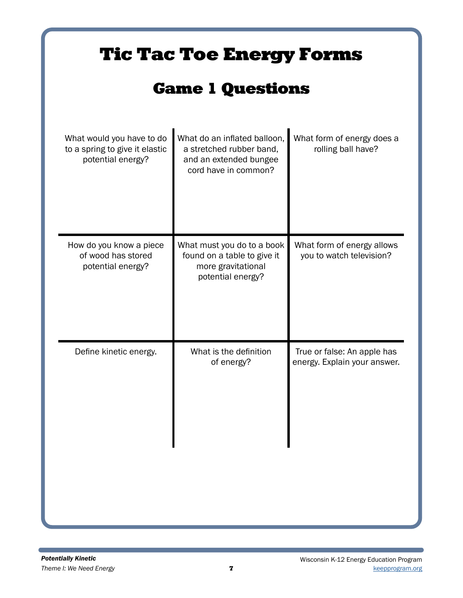## Tic Tac Toe Energy Forms

## Game 1 Questions

| What would you have to do<br>to a spring to give it elastic<br>potential energy? | What do an inflated balloon,<br>a stretched rubber band,<br>and an extended bungee<br>cord have in common? | What form of energy does a<br>rolling ball have?            |
|----------------------------------------------------------------------------------|------------------------------------------------------------------------------------------------------------|-------------------------------------------------------------|
| How do you know a piece<br>of wood has stored<br>potential energy?               | What must you do to a book<br>found on a table to give it<br>more gravitational<br>potential energy?       | What form of energy allows<br>you to watch television?      |
| Define kinetic energy.                                                           | What is the definition<br>of energy?                                                                       | True or false: An apple has<br>energy. Explain your answer. |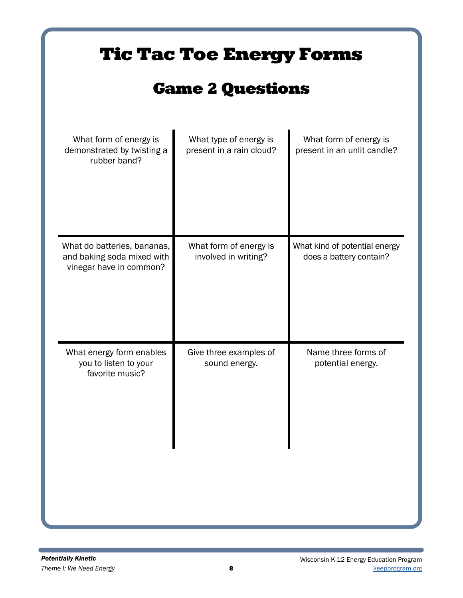| <b>Tic Tac Toe Energy Forms</b>                                                      |                                                    |                                                          |  |  |
|--------------------------------------------------------------------------------------|----------------------------------------------------|----------------------------------------------------------|--|--|
| <b>Game 2 Questions</b>                                                              |                                                    |                                                          |  |  |
| What form of energy is<br>demonstrated by twisting a<br>rubber band?                 | What type of energy is<br>present in a rain cloud? | What form of energy is<br>present in an unlit candle?    |  |  |
| What do batteries, bananas,<br>and baking soda mixed with<br>vinegar have in common? | What form of energy is<br>involved in writing?     | What kind of potential energy<br>does a battery contain? |  |  |
| What energy form enables<br>you to listen to your<br>favorite music?                 | Give three examples of<br>sound energy.            | Name three forms of<br>potential energy.                 |  |  |